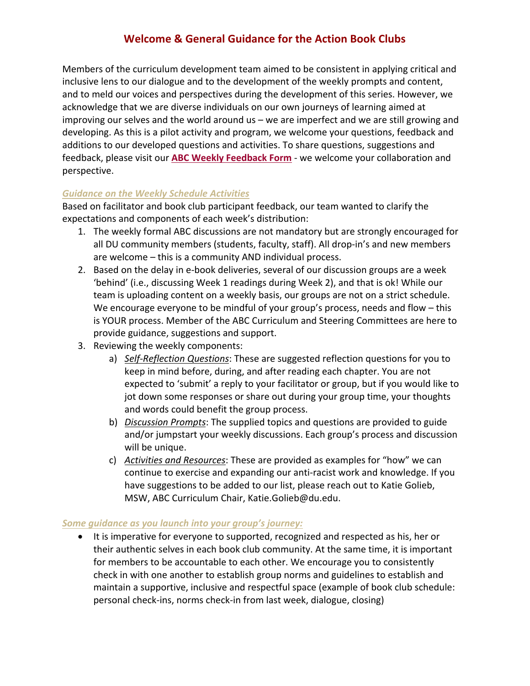## **Welcome & General Guidance for the Action Book Clubs**

Members of the curriculum development team aimed to be consistent in applying critical and inclusive lens to our dialogue and to the development of the weekly prompts and content, and to meld our voices and perspectives during the development of this series. However, we acknowledge that we are diverse individuals on our own journeys of learning aimed at improving our selves and the world around us – we are imperfect and we are still growing and developing. As this is a pilot activity and program, we welcome your questions, feedback and additions to our developed questions and activities. To share questions, suggestions and feedback, please visit our **ABC Weekly Feedback Form** - we welcome your collaboration and perspective.

## *Guidance on the Weekly Schedule Activities*

Based on facilitator and book club participant feedback, our team wanted to clarify the expectations and components of each week's distribution:

- 1. The weekly formal ABC discussions are not mandatory but are strongly encouraged for all DU community members (students, faculty, staff). All drop-in's and new members are welcome – this is a community AND individual process.
- 2. Based on the delay in e-book deliveries, several of our discussion groups are a week 'behind' (i.e., discussing Week 1 readings during Week 2), and that is ok! While our team is uploading content on a weekly basis, our groups are not on a strict schedule. We encourage everyone to be mindful of your group's process, needs and flow – this is YOUR process. Member of the ABC Curriculum and Steering Committees are here to provide guidance, suggestions and support.
- 3. Reviewing the weekly components:
	- a) *Self-Reflection Questions*: These are suggested reflection questions for you to keep in mind before, during, and after reading each chapter. You are not expected to 'submit' a reply to your facilitator or group, but if you would like to jot down some responses or share out during your group time, your thoughts and words could benefit the group process.
	- b) *Discussion Prompts*: The supplied topics and questions are provided to guide and/or jumpstart your weekly discussions. Each group's process and discussion will be unique.
	- c) *Activities and Resources*: These are provided as examples for "how" we can continue to exercise and expanding our anti-racist work and knowledge. If you have suggestions to be added to our list, please reach out to Katie Golieb, MSW, ABC Curriculum Chair, Katie.Golieb@du.edu.

## *Some guidance as you launch into your group's journey:*

• It is imperative for everyone to supported, recognized and respected as his, her or their authentic selves in each book club community. At the same time, it is important for members to be accountable to each other. We encourage you to consistently check in with one another to establish group norms and guidelines to establish and maintain a supportive, inclusive and respectful space (example of book club schedule: personal check-ins, norms check-in from last week, dialogue, closing)